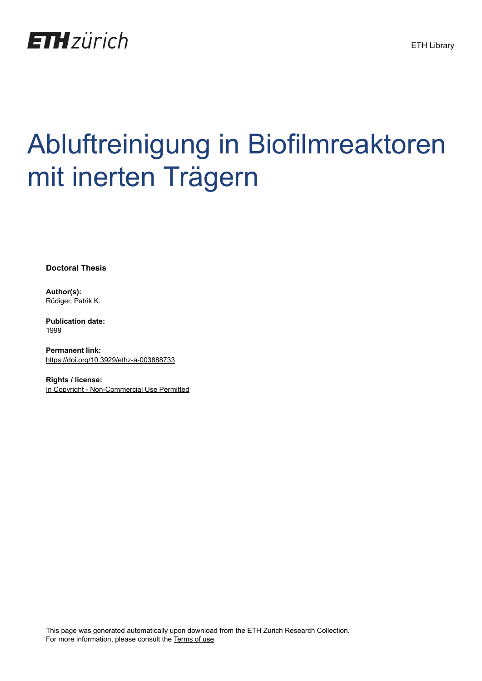

# Abluftreinigung in Biofilmreaktoren mit inerten Trägern

**Doctoral Thesis**

**Author(s):** Rüdiger, Patrik K.

**Publication date:** 1999

**Permanent link:** <https://doi.org/10.3929/ethz-a-003888733>

**Rights / license:** [In Copyright - Non-Commercial Use Permitted](http://rightsstatements.org/page/InC-NC/1.0/)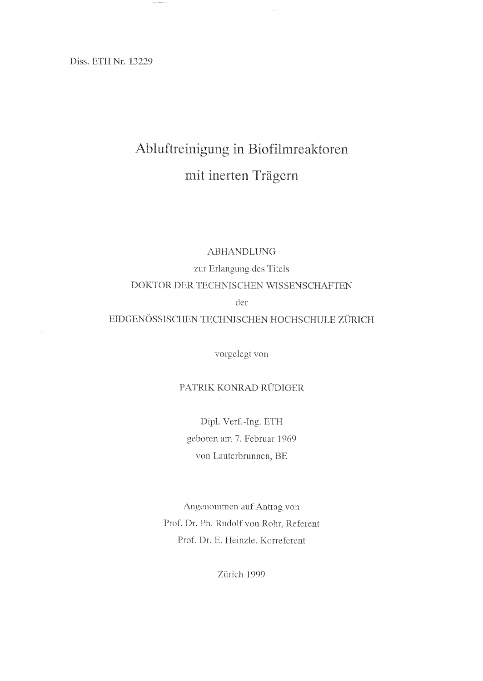Diss. ETH Nr. 13229

# Abluftreinigung in Biofilmreaktoren mit inerten Trägern

#### ABHANDLUNG

zur Erlangung des Titels DOKTOR DER TECHNISCHEN WISSENSCHAFTEN dei

#### EIDGENÖSSISCHEN TECHNISCHEN HOCHSCHULE ZÜRICH

vorgelegt von

#### PATRIK KONRAD RÜDIGER

Dipl. Verf.-Ing. ETH geboren am 7. Februar 1969 von Lauterbrunnen, BE

Angenommen auf Antrag von Prof. Dr. Ph. Rudolf von Rohr, Referent Prof. Dr. E. Heinzle, Korreferent

Zürich 1999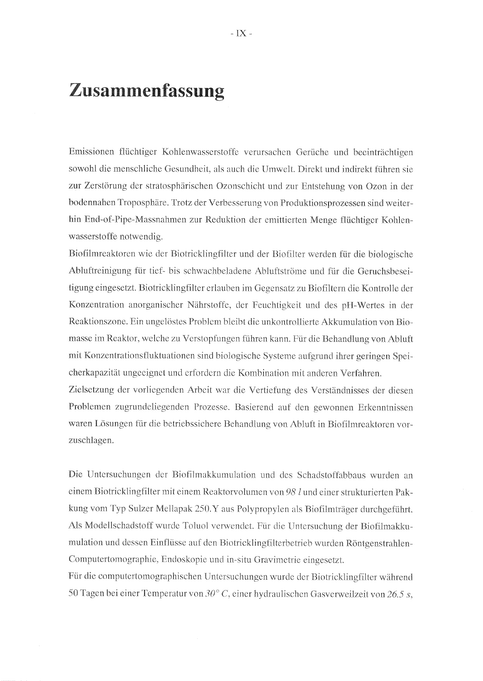## Zusammenfassung

Emissionen flüchtiger Kohlenwasserstoffe verursachen Gerüche und beeinträchtigen sowohl die menschliche Gesundheit, als auch die Umwelt. Direkt und indirekt führen sie zur Zerstörung der stratosphärischen Ozonschicht und zur Entstehung von Ozon in der bodennahen Troposphäre. Trotz der Verbesserung von Produktionsprozessen sind weiterhin End-of-Pipe-Massnahmen zur Reduktion der emittierten Menge flüchtiger Kohlenwasserstoffe notwendig.

Biofilmreaktoren wie der Biotricklingfilter und der Biofilter werden für die biologische Abluftreinigung für tief- bis schwachbeladene Abluftströme und für die Geruchsbeseitigung eingesetzt. Biotricklingfilter erlauben im Gegensatz zu Biofiltern die Kontrolle der Konzentration anorganischer Nährstoffe, der Feuchtigkeit und des pH-Wertes in der Reaktionszone. Ein ungelöstes Problem bleibt die unkontrollierte Akkumulation von Biomasse im Reaktor, welche zu Verstopfungen führen kann. Für die Behandlung von Abluft. mit Konzentrationsfluktuationen sind biologische Systeme aufgrund ihrer geringen Speicherkapazität ungeeignet und erfordern die Kombination mit anderen Verfahren.

Zielsetzung der vorliegenden Arbeit war die Vertiefung des Verständnisses der diesen Problemen zugrundeliegenden Prozesse. Basierend auf den gewonnen Erkenntnissen waren Lösungen für die betriebssichere Behandlung von Abluft in Biofilmreaktoren vorzuschlagen.

Die Untersuchungen der Biofilmakkumulation und des Schadstoffabbaus wurden an einem Biotricklingfilter mit einem Reaktorvolumen von 98 l und einer strukturierten Pakkung vom Typ Sulzer Mellapak 250.Y aus Polypropylen als Biofilmträger durchgeführt. Als Modellschadstoff wurde Toluol verwendet. Für die Untersuchung der Biofilmakkumulation und dessen Einflüsse auf den Biotricklingfilterbetrieb wurden Röntgenstrahlen-Computertomographie, Endoskopie und in-situ Gravimetrie eingesetzt.

Für die computertomographischen Untersuchungen wurde der Biotricklingfilter während 50 Tagen bei einer Temperatur von 30° C, einer hydraulischen Gasverweilzeit von 26.5 s,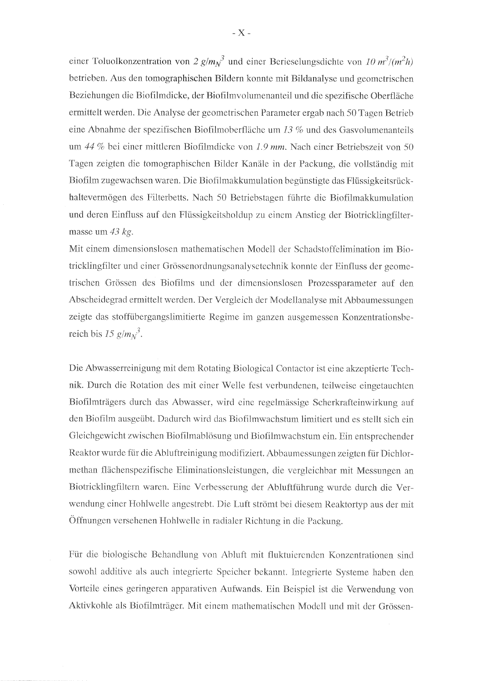einer Toluolkonzentration von 2 g/m<sub>N</sub><sup>3</sup> und einer Berieselungsdichte von 10 m<sup>3</sup>/(m<sup>2</sup>h) betrieben. Aus den tomographischen Bildern konnte mit Bildanalyse und geometrischen Beziehungen die Biofilmdicke, der Biofilmvolumenanteil und die spezifische Oberfläche ermittelt werden. Die Analyse der geometrischen Parameter ergab nach 50 Tagen Betrieb eine Abnahme der spezifischen Biofilmoberfläche um  $13\%$  und des Gasvolumenanteils um 44 % bei einer mittleren Biofilmdicke von 1.9 mm. Nach einer Betriebszeit von 50 Tagen zeigten die tomographischen Bilder Kanäle in der Packung, die vollständig mit Biofilm zugewachsen waren. Die Biofilmakkumulation begünstigte das Flüssigkeitsrückhaltevermögen des Filterbetts. Nach 50 Betriebstagen führte die Biofilmakkumulation und deren Einfluss auf den Flüssigkeitsholdup zu einem Anstieg der Biotricklingfiltermasse um  $43$  kg.

Mit einem dimensionslosen mathematischen Modell der Schadstoffcliniination im Biotricklingfilter und einer Grössenordnungsanalysetechnik konnte der Einfluss der geometrischen Grössen des Biofilms und der dimensionslosen Prozessparameter auf den Abscheidegrad ermittelt werden. Der Vergleich der Modellanalyse mit Abbaumessungen zeigte das stoffübergangslimitierte Regime im ganzen ausgemessen Konzentrationsbe reich bis 15 g/m<sub>N</sub><sup>3</sup>.

Die Abwasserreinigung mit dem Rotating Biological Contactor ist eine akzeptierte Tech nik. Durch die Rotation des mit einer Welle fest verbundenen, teilweise eingetauchten Biofiiniträgers durch das Abwasser, wird eine regelmässige Scherkrafteinwirkung auf den Biofilm ausgeübt. Dadurch wird das Biofilmwachstum limitiert und es stellt sich ein Gleichgewicht zwischen Biofilmablöstmg und Biofilmwachstumein. Ein entsprechender Reaktor wurde für die Abluftreinigung modifiziert. Abbaumessungen zeigten für Dichlormethan flächenspezifische Eliminationsleistungen, die vergleichbar mit Messungen an Biotricklingfiltern waren. Eine Verbesserung der Abluftführung wurde durch die Verwendung einer Hohlwelle angestrebt. Die Luft strömt bei diesem Reaktortyp aus der mit Öffnungen versehenen Hohlwelle in radialer Richtung in die Packung.

Für die biologische Behandlung von Abluft mit fluktuierenden Konzentrationen sind sowohl additive als auch integrierte Speicher bekannt. Integrierte Systeme haben den Vorteile eines geringeren apparativen Aufwands. Ein Beispiel ist die Verwendung von Aktivkohle als Biofilmträger. Mit einem mathematischen Modelt und mit der Grössen-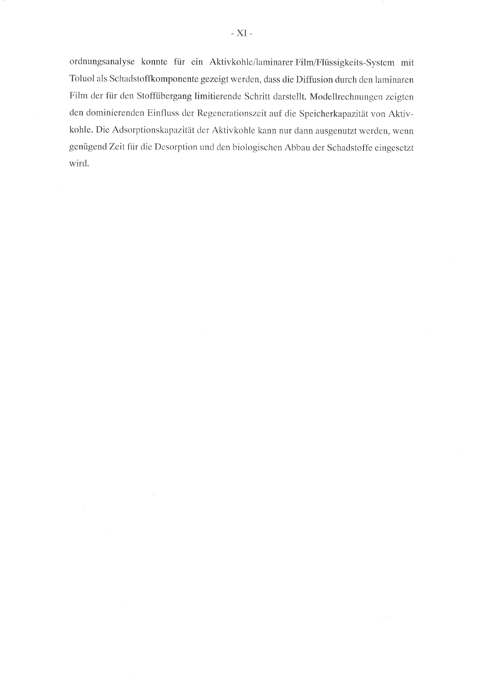ordnungsanalyse konnte für ein Aktivkohle/laminarerFilm/Flüssigkeits-System mit Toluol als Schadstoffkomponente gezeigt werden, dass die Diffusion durch den laminaren Film der für den Stoffübergang limitierende Schritt darstellt. Modellrechnungen zeigten den dominierenden Einfluss der Regenerationszeit auf die Speicherkapazität von Aktivkohle. Die Adsorptionskapazität der Aktivkohle kann nur dann ausgenutzt werden, wenn genügend Zeit für die Desorption und den biologischen Abbau der Schadstoffe eingesetzt wird.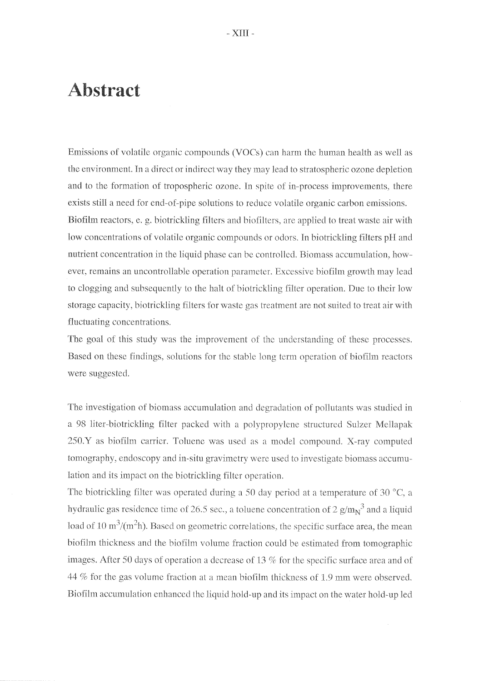## Abstract

Emissions of volatile organic compounds (VOCs) can harm the human health as well as the environment. In a direct or indirect way they may lead to stratospheric ozone depletion and to the formation of tropospheric ozone. In spite of in-process improvements, there exists still a need for end-of-pipe solutions to reduce volatile organic carbon emissions. Biofilm reactors, e. g. biotrickling filters and biofilters, are applied to treat waste air with low concentrations of volatile organic compounds or odors. In biotrickling filters pH and nutrient concentration in the liquid phase can be controlled. Biomass accumulation, however, remains an uncontrollable Operation parameter.Excessive biofilm growth may lead to clogging and subsequently to the halt of biotrickling filter operation. Due to their low storage capacity. biotrickiing fiiters for waste gas treatment are not suited to treat air with fluctuating concentrations.

The goal of this study was the improvement of the understanding of these processes. Based on these findings, solutions for the stable long term operation of biofilm reactors were suggested.

The investigation of biomass accumulation and degradation of pollutants was studied in <sup>a</sup> <sup>98</sup> liter-biotrickling filter packed with <sup>a</sup> polypropylene struetured Sulzer Mcllapak  $250.Y$  as biofilm carrier. Toluene was used as a model compound. X-ray computed tomography, endoscopy and in-situ gravimetry were used to investigate biomass accumulation and its impact on the biotrickling filter operation.

The biotrickling filter was operated during a 50 day period at a temperature of 30  $^{\circ}$ C, a hydraulic gas residence time of 26.5 sec., a toluene concentration of 2  $g/m<sub>N</sub><sup>3</sup>$  and a liquid load of 10  $\text{m}^3/\text{(m}^2\text{h})$ . Based on geometric correlations, the specific surface area, the mean biofilm thickness and the biofilm volume fraction could be estimated from tomographic images. After 50 days of operation a decrease of 13 % for the specific surface area and of <sup>44</sup> % for the gas volume fraction at <sup>a</sup> mean biofilm thickness of L.9 mm were observed. Biofilm accumulation enhanced the liquid hold-up and its impact on the water hold-up led